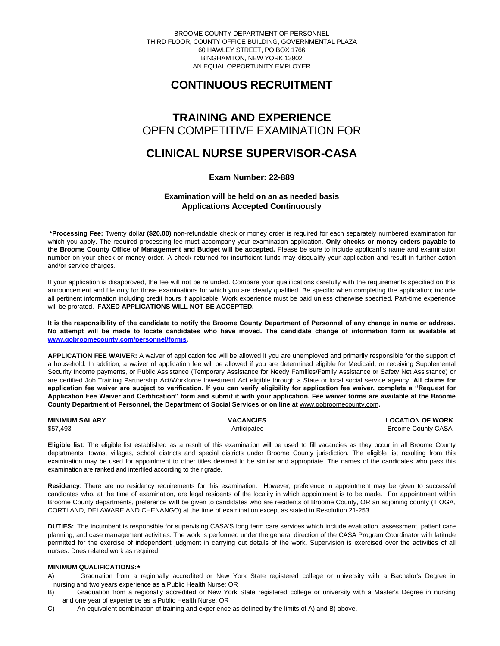BROOME COUNTY DEPARTMENT OF PERSONNEL THIRD FLOOR, COUNTY OFFICE BUILDING, GOVERNMENTAL PLAZA 60 HAWLEY STREET, PO BOX 1766 BINGHAMTON, NEW YORK 13902 AN EQUAL OPPORTUNITY EMPLOYER

# **CONTINUOUS RECRUITMENT**

## **TRAINING AND EXPERIENCE** OPEN COMPETITIVE EXAMINATION FOR

## **CLINICAL NURSE SUPERVISOR-CASA**

**Exam Number: 22-889**

## **Examination will be held on an as needed basis Applications Accepted Continuously**

**\*Processing Fee:** Twenty dollar **(\$20.00)** non-refundable check or money order is required for each separately numbered examination for which you apply. The required processing fee must accompany your examination application. **Only checks or money orders payable to the Broome County Office of Management and Budget will be accepted.** Please be sure to include applicant's name and examination number on your check or money order. A check returned for insufficient funds may disqualify your application and result in further action and/or service charges.

If your application is disapproved, the fee will not be refunded. Compare your qualifications carefully with the requirements specified on this announcement and file only for those examinations for which you are clearly qualified. Be specific when completing the application; include all pertinent information including credit hours if applicable. Work experience must be paid unless otherwise specified. Part-time experience will be prorated. **FAXED APPLICATIONS WILL NOT BE ACCEPTED.** 

**It is the responsibility of the candidate to notify the Broome County Department of Personnel of any change in name or address. No attempt will be made to locate candidates who have moved. The candidate change of information form is available at [www.gobroomecounty.com/personnel/forms.](http://www.gobroomecounty.com/personnel/forms)** 

**APPLICATION FEE WAIVER:** A waiver of application fee will be allowed if you are unemployed and primarily responsible for the support of a household. In addition, a waiver of application fee will be allowed if you are determined eligible for Medicaid, or receiving Supplemental Security Income payments, or Public Assistance (Temporary Assistance for Needy Families/Family Assistance or Safety Net Assistance) or are certified Job Training Partnership Act/Workforce Investment Act eligible through a State or local social service agency. **All claims for application fee waiver are subject to verification. If you can verify eligibility for application fee waiver, complete a "Request for Application Fee Waiver and Certification" form and submit it with your application. Fee waiver forms are available at the Broome**  County Department of Personnel, the Department of Social Services or on line at **www.gobroomecounty.com**.

| <b>MINIMUM SALARY</b> | <b>VACANCIES</b> | <b>LOCATION OF WORK</b>   |
|-----------------------|------------------|---------------------------|
| \$57,493              | Anticipated      | <b>Broome County CASA</b> |

**Eligible list**: The eligible list established as a result of this examination will be used to fill vacancies as they occur in all Broome County departments, towns, villages, school districts and special districts under Broome County jurisdiction. The eligible list resulting from this examination may be used for appointment to other titles deemed to be similar and appropriate. The names of the candidates who pass this examination are ranked and interfiled according to their grade.

**Residency**: There are no residency requirements for this examination. However, preference in appointment may be given to successful candidates who, at the time of examination, are legal residents of the locality in which appointment is to be made. For appointment within Broome County departments, preference **will** be given to candidates who are residents of Broome County, OR an adjoining county (TIOGA, CORTLAND, DELAWARE AND CHENANGO) at the time of examination except as stated in Resolution 21-253.

**DUTIES:** The incumbent is responsible for supervising CASA'S long term care services which include evaluation, assessment, patient care planning, and case management activities. The work is performed under the general direction of the CASA Program Coordinator with latitude permitted for the exercise of independent judgment in carrying out details of the work. Supervision is exercised over the activities of all nurses. Does related work as required.

### **MINIMUM QUALIFICATIONS:\***

A) Graduation from a regionally accredited or New York State registered college or university with a Bachelor's Degree in nursing and two years experience as a Public Health Nurse; OR

- B) Graduation from a regionally accredited or New York State registered college or university with a Master's Degree in nursing and one year of experience as a Public Health Nurse; OR
- C) An equivalent combination of training and experience as defined by the limits of A) and B) above.